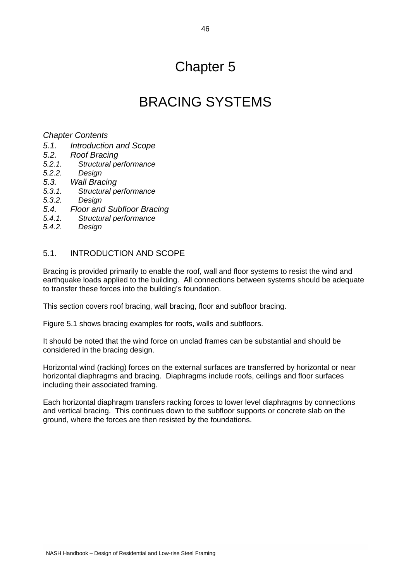## Chapter 5

## BRACING SYSTEMS

#### *Chapter Contents*

- *5.1. Introduction and Scope*
- *5.2. Roof Bracing*
- *5.2.1. Structural performance*
- *5.2.2. Design*
- *5.3. Wall Bracing*
- *5.3.1. Structural performance*
- *5.3.2. Design*
- *5.4. Floor and Subfloor Bracing*
- *5.4.1. Structural performance*
- *5.4.2. Design*

### 5.1. INTRODUCTION AND SCOPE

Bracing is provided primarily to enable the roof, wall and floor systems to resist the wind and earthquake loads applied to the building. All connections between systems should be adequate to transfer these forces into the building's foundation.

This section covers roof bracing, wall bracing, floor and subfloor bracing.

Figure 5.1 shows bracing examples for roofs, walls and subfloors.

It should be noted that the wind force on unclad frames can be substantial and should be considered in the bracing design.

Horizontal wind (racking) forces on the external surfaces are transferred by horizontal or near horizontal diaphragms and bracing. Diaphragms include roofs, ceilings and floor surfaces including their associated framing.

Each horizontal diaphragm transfers racking forces to lower level diaphragms by connections and vertical bracing. This continues down to the subfloor supports or concrete slab on the ground, where the forces are then resisted by the foundations.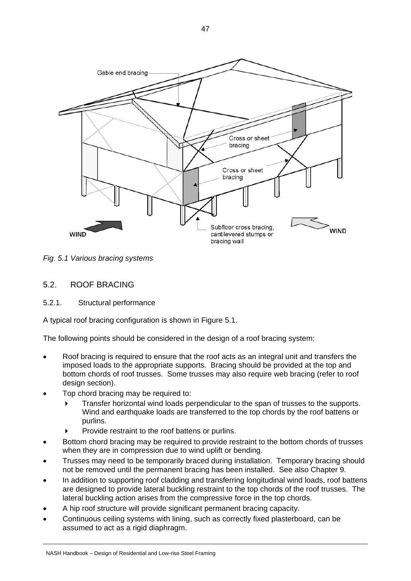

*Fig. 5.1 Various bracing systems* 

### 5.2. ROOF BRACING

5.2.1. Structural performance

A typical roof bracing configuration is shown in Figure 5.1.

The following points should be considered in the design of a roof bracing system:

- Roof bracing is required to ensure that the roof acts as an integral unit and transfers the imposed loads to the appropriate supports. Bracing should be provided at the top and bottom chords of roof trusses. Some trusses may also require web bracing (refer to roof design section).
- Top chord bracing may be required to:
	- Transfer horizontal wind loads perpendicular to the span of trusses to the supports. Wind and earthquake loads are transferred to the top chords by the roof battens or purlins.
	- Provide restraint to the roof battens or purlins.
- Bottom chord bracing may be required to provide restraint to the bottom chords of trusses when they are in compression due to wind uplift or bending.
- Trusses may need to be temporarily braced during installation. Temporary bracing should not be removed until the permanent bracing has been installed. See also Chapter 9.
- In addition to supporting roof cladding and transferring longitudinal wind loads, roof battens are designed to provide lateral buckling restraint to the top chords of the roof trusses. The lateral buckling action arises from the compressive force in the top chords.
- A hip roof structure will provide significant permanent bracing capacity.
- Continuous ceiling systems with lining, such as correctly fixed plasterboard, can be assumed to act as a rigid diaphragm.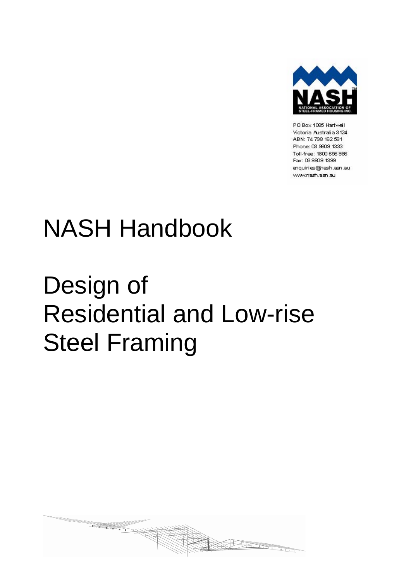

PO Box 1085 Hartwell Victoria Australia 3124 ABN: 74 798 162 591 Phone: 03 9809 1333 Toll-free: 1800 656 986 Fax: 03 9809 1399 enquiries@nash.asn.au www.nash.asn.au

# NASH Handbook

# Design of Residential and Low-rise Steel Framing

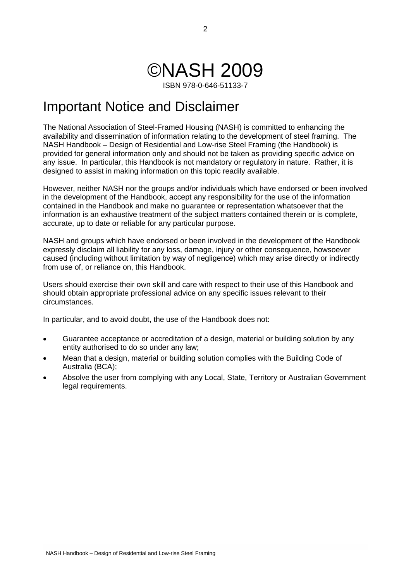## ©NASH 2009

ISBN 978-0-646-51133-7

## Important Notice and Disclaimer

The National Association of Steel-Framed Housing (NASH) is committed to enhancing the availability and dissemination of information relating to the development of steel framing. The NASH Handbook – Design of Residential and Low-rise Steel Framing (the Handbook) is provided for general information only and should not be taken as providing specific advice on any issue. In particular, this Handbook is not mandatory or regulatory in nature. Rather, it is designed to assist in making information on this topic readily available.

However, neither NASH nor the groups and/or individuals which have endorsed or been involved in the development of the Handbook, accept any responsibility for the use of the information contained in the Handbook and make no guarantee or representation whatsoever that the information is an exhaustive treatment of the subject matters contained therein or is complete, accurate, up to date or reliable for any particular purpose.

NASH and groups which have endorsed or been involved in the development of the Handbook expressly disclaim all liability for any loss, damage, injury or other consequence, howsoever caused (including without limitation by way of negligence) which may arise directly or indirectly from use of, or reliance on, this Handbook.

Users should exercise their own skill and care with respect to their use of this Handbook and should obtain appropriate professional advice on any specific issues relevant to their circumstances.

In particular, and to avoid doubt, the use of the Handbook does not:

- Guarantee acceptance or accreditation of a design, material or building solution by any entity authorised to do so under any law;
- Mean that a design, material or building solution complies with the Building Code of Australia (BCA);
- Absolve the user from complying with any Local, State, Territory or Australian Government legal requirements.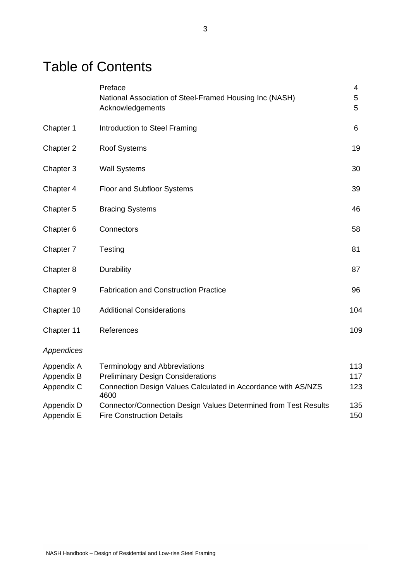## Table of Contents

|            | Preface<br>National Association of Steel-Framed Housing Inc (NASH)<br>Acknowledgements | 4<br>5<br>5 |
|------------|----------------------------------------------------------------------------------------|-------------|
| Chapter 1  | Introduction to Steel Framing                                                          | 6           |
| Chapter 2  | <b>Roof Systems</b>                                                                    | 19          |
| Chapter 3  | <b>Wall Systems</b>                                                                    | 30          |
| Chapter 4  | <b>Floor and Subfloor Systems</b>                                                      | 39          |
| Chapter 5  | <b>Bracing Systems</b>                                                                 | 46          |
| Chapter 6  | Connectors                                                                             | 58          |
| Chapter 7  | Testing                                                                                | 81          |
| Chapter 8  | Durability                                                                             | 87          |
| Chapter 9  | <b>Fabrication and Construction Practice</b>                                           | 96          |
| Chapter 10 | <b>Additional Considerations</b>                                                       | 104         |
| Chapter 11 | References                                                                             | 109         |
| Appendices |                                                                                        |             |
| Appendix A | <b>Terminology and Abbreviations</b>                                                   | 113         |
| Appendix B | <b>Preliminary Design Considerations</b>                                               | 117         |
| Appendix C | Connection Design Values Calculated in Accordance with AS/NZS<br>4600                  | 123         |
| Appendix D | Connector/Connection Design Values Determined from Test Results                        | 135         |
| Appendix E | <b>Fire Construction Details</b>                                                       | 150         |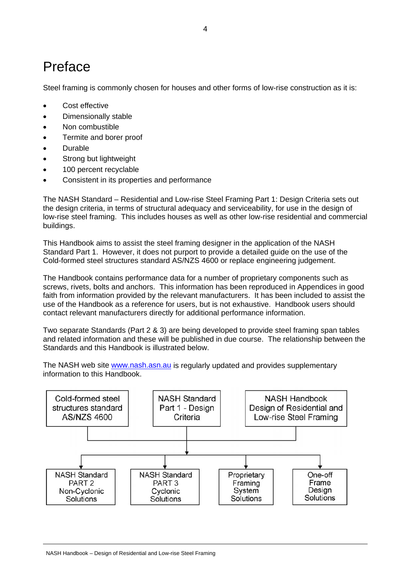## Preface

Steel framing is commonly chosen for houses and other forms of low-rise construction as it is:

- Cost effective
- Dimensionally stable
- Non combustible
- Termite and borer proof
- Durable
- Strong but lightweight
- 100 percent recyclable
- Consistent in its properties and performance

The NASH Standard – Residential and Low-rise Steel Framing Part 1: Design Criteria sets out the design criteria, in terms of structural adequacy and serviceability, for use in the design of low-rise steel framing. This includes houses as well as other low-rise residential and commercial buildings.

This Handbook aims to assist the steel framing designer in the application of the NASH Standard Part 1. However, it does not purport to provide a detailed guide on the use of the Cold-formed steel structures standard AS/NZS 4600 or replace engineering judgement.

The Handbook contains performance data for a number of proprietary components such as screws, rivets, bolts and anchors. This information has been reproduced in Appendices in good faith from information provided by the relevant manufacturers. It has been included to assist the use of the Handbook as a reference for users, but is not exhaustive. Handbook users should contact relevant manufacturers directly for additional performance information.

Two separate Standards (Part 2 & 3) are being developed to provide steel framing span tables and related information and these will be published in due course. The relationship between the Standards and this Handbook is illustrated below.

The NASH web site [www.nash.asn.au](http://www.nash.asn.au/) is regularly updated and provides supplementary information to this Handbook.